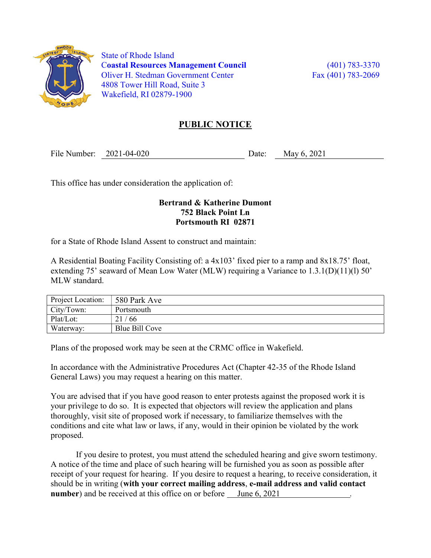

 State of Rhode Island Coastal Resources Management Council (401) 783-3370 Oliver H. Stedman Government Center Fax (401) 783-2069 4808 Tower Hill Road, Suite 3 Wakefield, RI 02879-1900

## PUBLIC NOTICE

File Number: 2021-04-020 Date: May 6, 2021

This office has under consideration the application of:

## Bertrand & Katherine Dumont 752 Black Point Ln Portsmouth RI 02871

for a State of Rhode Island Assent to construct and maintain:

A Residential Boating Facility Consisting of: a 4x103' fixed pier to a ramp and 8x18.75' float, extending 75' seaward of Mean Low Water (MLW) requiring a Variance to 1.3.1(D)(11)(1) 50' MLW standard.

| <b>Project Location:</b> | 580 Park Ave   |
|--------------------------|----------------|
| City/Town:               | Portsmouth     |
| Plat/Lot:                | 21/66          |
| Waterway:                | Blue Bill Cove |

Plans of the proposed work may be seen at the CRMC office in Wakefield.

In accordance with the Administrative Procedures Act (Chapter 42-35 of the Rhode Island General Laws) you may request a hearing on this matter.

You are advised that if you have good reason to enter protests against the proposed work it is your privilege to do so. It is expected that objectors will review the application and plans thoroughly, visit site of proposed work if necessary, to familiarize themselves with the conditions and cite what law or laws, if any, would in their opinion be violated by the work proposed.

If you desire to protest, you must attend the scheduled hearing and give sworn testimony. A notice of the time and place of such hearing will be furnished you as soon as possible after receipt of your request for hearing. If you desire to request a hearing, to receive consideration, it should be in writing (with your correct mailing address, e-mail address and valid contact number) and be received at this office on or before June 6, 2021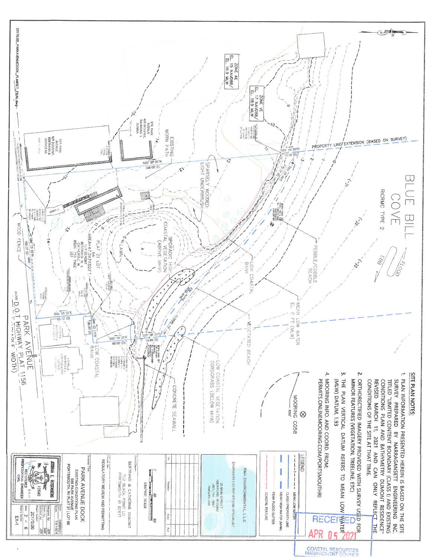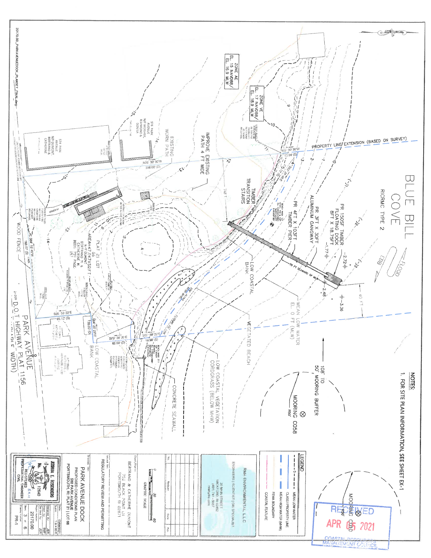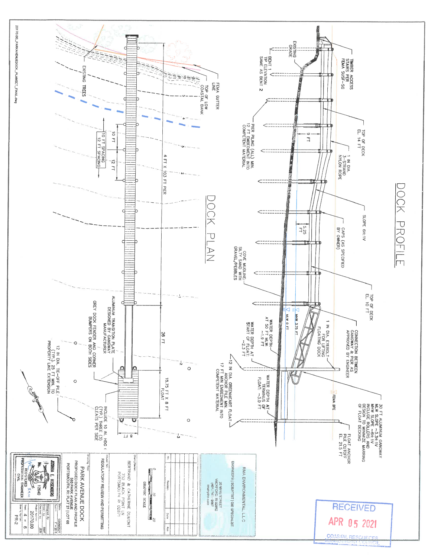